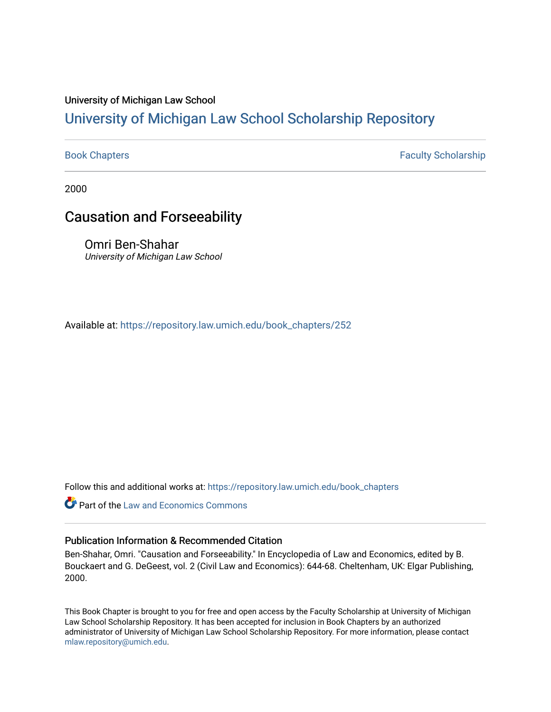## University of Michigan Law School

# [University of Michigan Law School Scholarship Repository](https://repository.law.umich.edu/)

[Book Chapters](https://repository.law.umich.edu/book_chapters) **Faculty Scholarship** 

2000

# Causation and Forseeability

Omri Ben-Shahar University of Michigan Law School

Available at: [https://repository.law.umich.edu/book\\_chapters/252](https://repository.law.umich.edu/book_chapters/252) 

Follow this and additional works at: [https://repository.law.umich.edu/book\\_chapters](https://repository.law.umich.edu/book_chapters?utm_source=repository.law.umich.edu%2Fbook_chapters%2F252&utm_medium=PDF&utm_campaign=PDFCoverPages)

**C** Part of the Law and Economics Commons

## Publication Information & Recommended Citation

Ben-Shahar, Omri. "Causation and Forseeability." In Encyclopedia of Law and Economics, edited by B. Bouckaert and G. DeGeest, vol. 2 (Civil Law and Economics): 644-68. Cheltenham, UK: Elgar Publishing, 2000.

This Book Chapter is brought to you for free and open access by the Faculty Scholarship at University of Michigan Law School Scholarship Repository. It has been accepted for inclusion in Book Chapters by an authorized administrator of University of Michigan Law School Scholarship Repository. For more information, please contact [mlaw.repository@umich.edu.](mailto:mlaw.repository@umich.edu)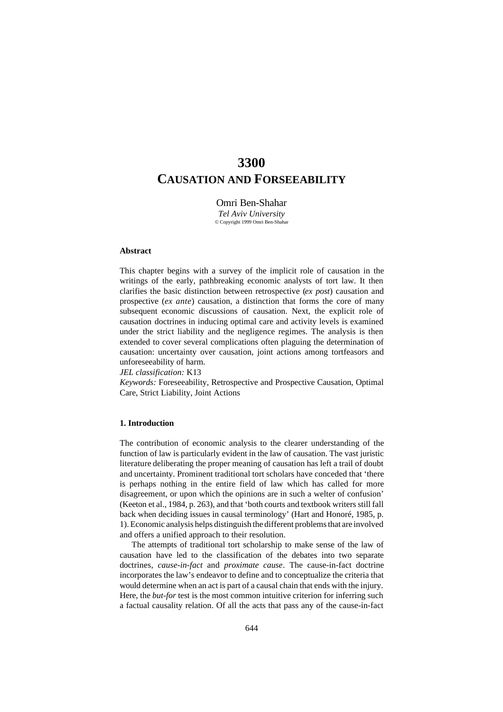# **3300 CAUSATION AND FORSEEABILITY**

Omri Ben-Shahar

*Tel Aviv University* © Copyright 1999 Omri Ben-Shahar

### **Abstract**

This chapter begins with a survey of the implicit role of causation in the writings of the early, pathbreaking economic analysts of tort law. It then clarifies the basic distinction between retrospective (*ex post*) causation and prospective (*ex ante*) causation, a distinction that forms the core of many subsequent economic discussions of causation. Next, the explicit role of causation doctrines in inducing optimal care and activity levels is examined under the strict liability and the negligence regimes. The analysis is then extended to cover several complications often plaguing the determination of causation: uncertainty over causation, joint actions among tortfeasors and unforeseeability of harm.

*JEL classification:* K13

*Keywords:* Foreseeability, Retrospective and Prospective Causation, Optimal Care, Strict Liability, Joint Actions

### **1. Introduction**

The contribution of economic analysis to the clearer understanding of the function of law is particularly evident in the law of causation. The vast juristic literature deliberating the proper meaning of causation has left a trail of doubt and uncertainty. Prominent traditional tort scholars have conceded that 'there is perhaps nothing in the entire field of law which has called for more disagreement, or upon which the opinions are in such a welter of confusion' (Keeton et al., 1984, p. 263), and that 'both courts and textbook writers still fall back when deciding issues in causal terminology' (Hart and Honoré, 1985, p. 1). Economic analysis helps distinguish the different problems that are involved and offers a unified approach to their resolution.

The attempts of traditional tort scholarship to make sense of the law of causation have led to the classification of the debates into two separate doctrines, *cause-in-fact* and *proximate cause*. The cause-in-fact doctrine incorporates the law's endeavor to define and to conceptualize the criteria that would determine when an act is part of a causal chain that ends with the injury. Here, the *but-for* test is the most common intuitive criterion for inferring such a factual causality relation. Of all the acts that pass any of the cause-in-fact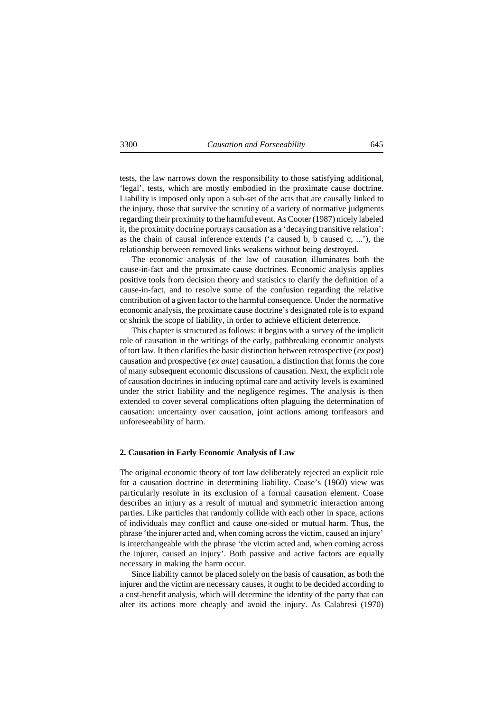tests, the law narrows down the responsibility to those satisfying additional, 'legal', tests, which are mostly embodied in the proximate cause doctrine. Liability is imposed only upon a sub-set of the acts that are causally linked to the injury, those that survive the scrutiny of a variety of normative judgments regarding their proximity to the harmful event. As Cooter (1987) nicely labeled it, the proximity doctrine portrays causation as a 'decaying transitive relation': as the chain of causal inference extends ( $a$  caused b, b caused c, ...'), the relationship between removed links weakens without being destroyed.

The economic analysis of the law of causation illuminates both the cause-in-fact and the proximate cause doctrines. Economic analysis applies positive tools from decision theory and statistics to clarify the definition of a cause-in-fact, and to resolve some of the confusion regarding the relative contribution of a given factor to the harmful consequence. Under the normative economic analysis, the proximate cause doctrine's designated role is to expand or shrink the scope of liability, in order to achieve efficient deterrence.

This chapter is structured as follows: it begins with a survey of the implicit role of causation in the writings of the early, pathbreaking economic analysts of tort law. It then clarifies the basic distinction between retrospective (*ex post*) causation and prospective (*ex ante*) causation, a distinction that forms the core of many subsequent economic discussions of causation. Next, the explicit role of causation doctrines in inducing optimal care and activity levels is examined under the strict liability and the negligence regimes. The analysis is then extended to cover several complications often plaguing the determination of causation: uncertainty over causation, joint actions among tortfeasors and unforeseeability of harm.

#### **2. Causation in Early Economic Analysis of Law**

The original economic theory of tort law deliberately rejected an explicit role for a causation doctrine in determining liability. Coase's (1960) view was particularly resolute in its exclusion of a formal causation element. Coase describes an injury as a result of mutual and symmetric interaction among parties. Like particles that randomly collide with each other in space, actions of individuals may conflict and cause one-sided or mutual harm. Thus, the phrase 'the injurer acted and, when coming across the victim, caused an injury' is interchangeable with the phrase 'the victim acted and, when coming across the injurer, caused an injury'. Both passive and active factors are equally necessary in making the harm occur.

Since liability cannot be placed solely on the basis of causation, as both the injurer and the victim are necessary causes, it ought to be decided according to a cost-benefit analysis, which will determine the identity of the party that can alter its actions more cheaply and avoid the injury. As Calabresi (1970)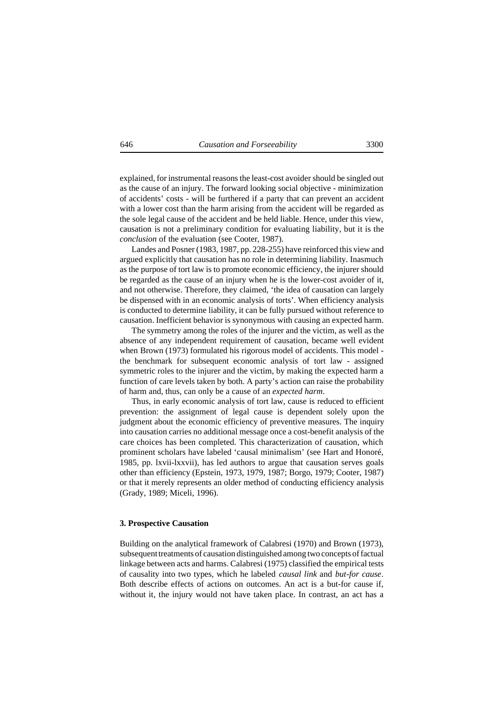explained, for instrumental reasons the least-cost avoider should be singled out as the cause of an injury. The forward looking social objective - minimization of accidents' costs - will be furthered if a party that can prevent an accident with a lower cost than the harm arising from the accident will be regarded as the sole legal cause of the accident and be held liable. Hence, under this view, causation is not a preliminary condition for evaluating liability, but it is the *conclusion* of the evaluation (see Cooter, 1987).

Landes and Posner (1983, 1987, pp. 228-255) have reinforced this view and argued explicitly that causation has no role in determining liability. Inasmuch as the purpose of tort law is to promote economic efficiency, the injurer should be regarded as the cause of an injury when he is the lower-cost avoider of it, and not otherwise. Therefore, they claimed, 'the idea of causation can largely be dispensed with in an economic analysis of torts'. When efficiency analysis is conducted to determine liability, it can be fully pursued without reference to causation. Inefficient behavior is synonymous with causing an expected harm.

The symmetry among the roles of the injurer and the victim, as well as the absence of any independent requirement of causation, became well evident when Brown (1973) formulated his rigorous model of accidents. This model the benchmark for subsequent economic analysis of tort law - assigned symmetric roles to the injurer and the victim, by making the expected harm a function of care levels taken by both. A party's action can raise the probability of harm and, thus, can only be a cause of an *expected harm*.

Thus, in early economic analysis of tort law, cause is reduced to efficient prevention: the assignment of legal cause is dependent solely upon the judgment about the economic efficiency of preventive measures. The inquiry into causation carries no additional message once a cost-benefit analysis of the care choices has been completed. This characterization of causation, which prominent scholars have labeled 'causal minimalism' (see Hart and Honoré, 1985, pp. lxvii-lxxvii), has led authors to argue that causation serves goals other than efficiency (Epstein, 1973, 1979, 1987; Borgo, 1979; Cooter, 1987) or that it merely represents an older method of conducting efficiency analysis (Grady, 1989; Miceli, 1996).

#### **3. Prospective Causation**

Building on the analytical framework of Calabresi (1970) and Brown (1973), subsequent treatments of causation distinguished among two concepts of factual linkage between acts and harms. Calabresi (1975) classified the empirical tests of causality into two types, which he labeled *causal link* and *but-for cause*. Both describe effects of actions on outcomes. An act is a but-for cause if, without it, the injury would not have taken place. In contrast, an act has a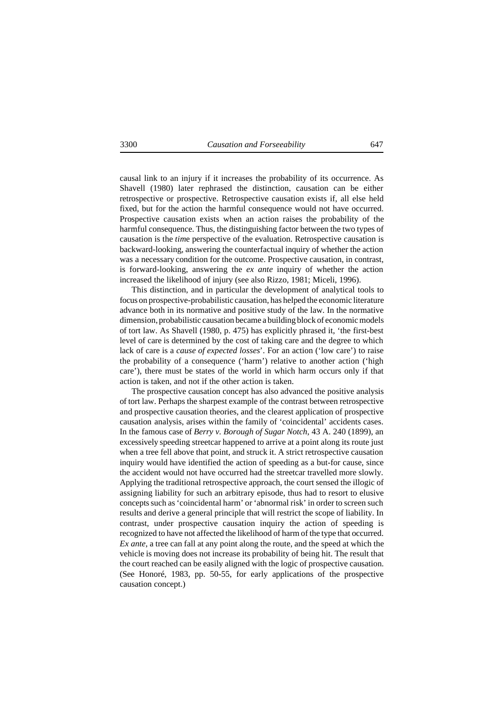causal link to an injury if it increases the probability of its occurrence. As Shavell (1980) later rephrased the distinction, causation can be either retrospective or prospective. Retrospective causation exists if, all else held fixed, but for the action the harmful consequence would not have occurred. Prospective causation exists when an action raises the probability of the harmful consequence. Thus, the distinguishing factor between the two types of causation is the *tim*e perspective of the evaluation. Retrospective causation is backward-looking, answering the counterfactual inquiry of whether the action was a necessary condition for the outcome. Prospective causation, in contrast, is forward-looking, answering the *ex ante* inquiry of whether the action increased the likelihood of injury (see also Rizzo, 1981; Miceli, 1996).

This distinction, and in particular the development of analytical tools to focus on prospective-probabilistic causation, has helped the economic literature advance both in its normative and positive study of the law. In the normative dimension, probabilistic causation became a building block of economic models of tort law. As Shavell (1980, p. 475) has explicitly phrased it, 'the first-best level of care is determined by the cost of taking care and the degree to which lack of care is a *cause of expected losses*'. For an action ('low care') to raise the probability of a consequence ('harm') relative to another action ('high care'), there must be states of the world in which harm occurs only if that action is taken, and not if the other action is taken.

The prospective causation concept has also advanced the positive analysis of tort law. Perhaps the sharpest example of the contrast between retrospective and prospective causation theories, and the clearest application of prospective causation analysis, arises within the family of 'coincidental' accidents cases. In the famous case of *Berry v. Borough of Sugar Notch*, 43 A. 240 (1899), an excessively speeding streetcar happened to arrive at a point along its route just when a tree fell above that point, and struck it. A strict retrospective causation inquiry would have identified the action of speeding as a but-for cause, since the accident would not have occurred had the streetcar travelled more slowly. Applying the traditional retrospective approach, the court sensed the illogic of assigning liability for such an arbitrary episode, thus had to resort to elusive concepts such as 'coincidental harm' or 'abnormal risk' in order to screen such results and derive a general principle that will restrict the scope of liability. In contrast, under prospective causation inquiry the action of speeding is recognized to have not affected the likelihood of harm of the type that occurred. *Ex ante*, a tree can fall at any point along the route, and the speed at which the vehicle is moving does not increase its probability of being hit. The result that the court reached can be easily aligned with the logic of prospective causation. (See Honoré, 1983, pp. 50-55, for early applications of the prospective causation concept.)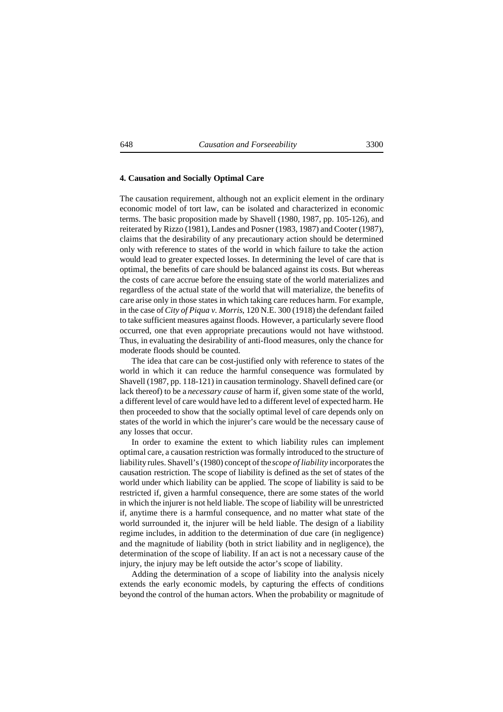#### **4. Causation and Socially Optimal Care**

The causation requirement, although not an explicit element in the ordinary economic model of tort law, can be isolated and characterized in economic terms. The basic proposition made by Shavell (1980, 1987, pp. 105-126), and reiterated by Rizzo (1981), Landes and Posner (1983, 1987) and Cooter (1987), claims that the desirability of any precautionary action should be determined only with reference to states of the world in which failure to take the action would lead to greater expected losses. In determining the level of care that is optimal, the benefits of care should be balanced against its costs. But whereas the costs of care accrue before the ensuing state of the world materializes and regardless of the actual state of the world that will materialize, the benefits of care arise only in those states in which taking care reduces harm. For example, in the case of *City of Piqua v. Morris*, 120 N.E. 300 (1918) the defendant failed to take sufficient measures against floods. However, a particularly severe flood occurred, one that even appropriate precautions would not have withstood. Thus, in evaluating the desirability of anti-flood measures, only the chance for moderate floods should be counted.

The idea that care can be cost-justified only with reference to states of the world in which it can reduce the harmful consequence was formulated by Shavell (1987, pp. 118-121) in causation terminology. Shavell defined care (or lack thereof) to be a *necessary cause* of harm if, given some state of the world, a different level of care would have led to a different level of expected harm. He then proceeded to show that the socially optimal level of care depends only on states of the world in which the injurer's care would be the necessary cause of any losses that occur.

In order to examine the extent to which liability rules can implement optimal care, a causation restriction was formally introduced to the structure of liability rules. Shavell's (1980) concept of the *scope of liability* incorporates the causation restriction. The scope of liability is defined as the set of states of the world under which liability can be applied. The scope of liability is said to be restricted if, given a harmful consequence, there are some states of the world in which the injurer is not held liable. The scope of liability will be unrestricted if, anytime there is a harmful consequence, and no matter what state of the world surrounded it, the injurer will be held liable. The design of a liability regime includes, in addition to the determination of due care (in negligence) and the magnitude of liability (both in strict liability and in negligence), the determination of the scope of liability. If an act is not a necessary cause of the injury, the injury may be left outside the actor's scope of liability.

Adding the determination of a scope of liability into the analysis nicely extends the early economic models, by capturing the effects of conditions beyond the control of the human actors. When the probability or magnitude of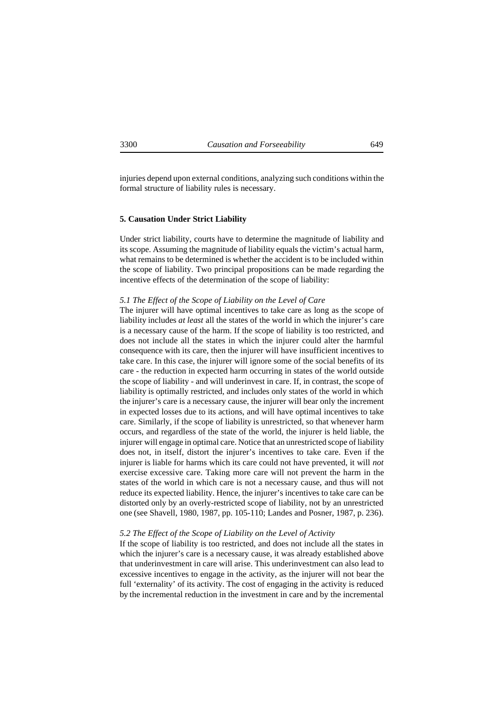injuries depend upon external conditions, analyzing such conditions within the formal structure of liability rules is necessary.

#### **5. Causation Under Strict Liability**

Under strict liability, courts have to determine the magnitude of liability and its scope. Assuming the magnitude of liability equals the victim's actual harm, what remains to be determined is whether the accident is to be included within the scope of liability. Two principal propositions can be made regarding the incentive effects of the determination of the scope of liability:

#### *5.1 The Effect of the Scope of Liability on the Level of Care*

The injurer will have optimal incentives to take care as long as the scope of liability includes *at least* all the states of the world in which the injurer's care is a necessary cause of the harm. If the scope of liability is too restricted, and does not include all the states in which the injurer could alter the harmful consequence with its care, then the injurer will have insufficient incentives to take care. In this case, the injurer will ignore some of the social benefits of its care - the reduction in expected harm occurring in states of the world outside the scope of liability - and will underinvest in care. If, in contrast, the scope of liability is optimally restricted, and includes only states of the world in which the injurer's care is a necessary cause, the injurer will bear only the increment in expected losses due to its actions, and will have optimal incentives to take care. Similarly, if the scope of liability is unrestricted, so that whenever harm occurs, and regardless of the state of the world, the injurer is held liable, the injurer will engage in optimal care. Notice that an unrestricted scope of liability does not, in itself, distort the injurer's incentives to take care. Even if the injurer is liable for harms which its care could not have prevented, it will *not* exercise excessive care. Taking more care will not prevent the harm in the states of the world in which care is not a necessary cause, and thus will not reduce its expected liability. Hence, the injurer's incentives to take care can be distorted only by an overly-restricted scope of liability, not by an unrestricted one (see Shavell, 1980, 1987, pp. 105-110; Landes and Posner, 1987, p. 236).

#### *5.2 The Effect of the Scope of Liability on the Level of Activity*

If the scope of liability is too restricted, and does not include all the states in which the injurer's care is a necessary cause, it was already established above that underinvestment in care will arise. This underinvestment can also lead to excessive incentives to engage in the activity, as the injurer will not bear the full 'externality' of its activity. The cost of engaging in the activity is reduced by the incremental reduction in the investment in care and by the incremental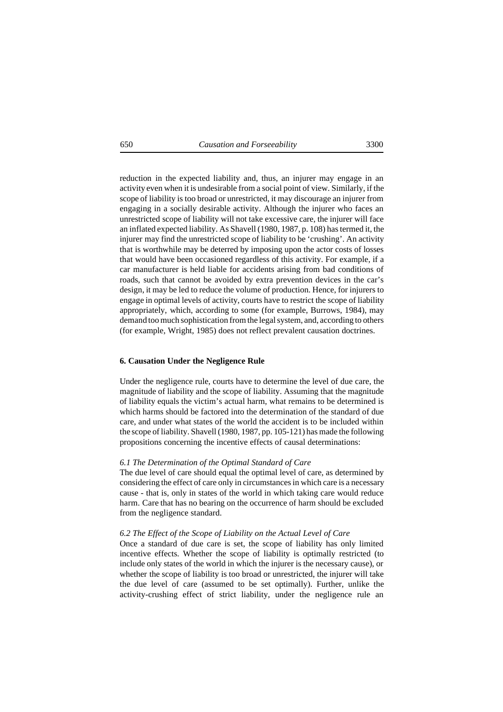reduction in the expected liability and, thus, an injurer may engage in an activity even when it is undesirable from a social point of view. Similarly, if the scope of liability is too broad or unrestricted, it may discourage an injurer from engaging in a socially desirable activity. Although the injurer who faces an unrestricted scope of liability will not take excessive care, the injurer will face an inflated expected liability. As Shavell (1980, 1987, p. 108) has termed it, the injurer may find the unrestricted scope of liability to be 'crushing'. An activity that is worthwhile may be deterred by imposing upon the actor costs of losses that would have been occasioned regardless of this activity. For example, if a car manufacturer is held liable for accidents arising from bad conditions of roads, such that cannot be avoided by extra prevention devices in the car's design, it may be led to reduce the volume of production. Hence, for injurers to engage in optimal levels of activity, courts have to restrict the scope of liability appropriately, which, according to some (for example, Burrows, 1984), may demand too much sophistication from the legal system, and, according to others (for example, Wright, 1985) does not reflect prevalent causation doctrines.

#### **6. Causation Under the Negligence Rule**

Under the negligence rule, courts have to determine the level of due care, the magnitude of liability and the scope of liability. Assuming that the magnitude of liability equals the victim's actual harm, what remains to be determined is which harms should be factored into the determination of the standard of due care, and under what states of the world the accident is to be included within the scope of liability. Shavell (1980, 1987, pp. 105-121) has made the following propositions concerning the incentive effects of causal determinations:

#### *6.1 The Determination of the Optimal Standard of Care*

The due level of care should equal the optimal level of care, as determined by considering the effect of care only in circumstances in which care is a necessary cause - that is, only in states of the world in which taking care would reduce harm. Care that has no bearing on the occurrence of harm should be excluded from the negligence standard.

#### *6.2 The Effect of the Scope of Liability on the Actual Level of Care*

Once a standard of due care is set, the scope of liability has only limited incentive effects. Whether the scope of liability is optimally restricted (to include only states of the world in which the injurer is the necessary cause), or whether the scope of liability is too broad or unrestricted, the injurer will take the due level of care (assumed to be set optimally). Further, unlike the activity-crushing effect of strict liability, under the negligence rule an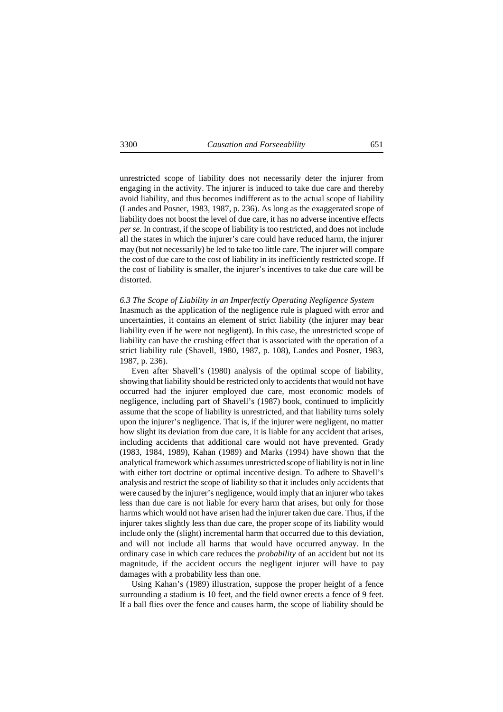unrestricted scope of liability does not necessarily deter the injurer from engaging in the activity. The injurer is induced to take due care and thereby avoid liability, and thus becomes indifferent as to the actual scope of liability (Landes and Posner, 1983, 1987, p. 236). As long as the exaggerated scope of liability does not boost the level of due care, it has no adverse incentive effects *per se.* In contrast, if the scope of liability is too restricted, and does not include all the states in which the injurer's care could have reduced harm, the injurer may (but not necessarily) be led to take too little care. The injurer will compare the cost of due care to the cost of liability in its inefficiently restricted scope. If the cost of liability is smaller, the injurer's incentives to take due care will be distorted.

#### *6.3 The Scope of Liability in an Imperfectly Operating Negligence System*

Inasmuch as the application of the negligence rule is plagued with error and uncertainties, it contains an element of strict liability (the injurer may bear liability even if he were not negligent). In this case, the unrestricted scope of liability can have the crushing effect that is associated with the operation of a strict liability rule (Shavell, 1980, 1987, p. 108), Landes and Posner, 1983, 1987, p. 236).

Even after Shavell's (1980) analysis of the optimal scope of liability, showing that liability should be restricted only to accidents that would not have occurred had the injurer employed due care, most economic models of negligence, including part of Shavell's (1987) book, continued to implicitly assume that the scope of liability is unrestricted, and that liability turns solely upon the injurer's negligence. That is, if the injurer were negligent, no matter how slight its deviation from due care, it is liable for any accident that arises, including accidents that additional care would not have prevented. Grady (1983, 1984, 1989), Kahan (1989) and Marks (1994) have shown that the analytical framework which assumes unrestricted scope of liability is not in line with either tort doctrine or optimal incentive design. To adhere to Shavell's analysis and restrict the scope of liability so that it includes only accidents that were caused by the injurer's negligence, would imply that an injurer who takes less than due care is not liable for every harm that arises, but only for those harms which would not have arisen had the injurer taken due care. Thus, if the injurer takes slightly less than due care, the proper scope of its liability would include only the (slight) incremental harm that occurred due to this deviation, and will not include all harms that would have occurred anyway. In the ordinary case in which care reduces the *probability* of an accident but not its magnitude, if the accident occurs the negligent injurer will have to pay damages with a probability less than one.

Using Kahan's (1989) illustration, suppose the proper height of a fence surrounding a stadium is 10 feet, and the field owner erects a fence of 9 feet. If a ball flies over the fence and causes harm, the scope of liability should be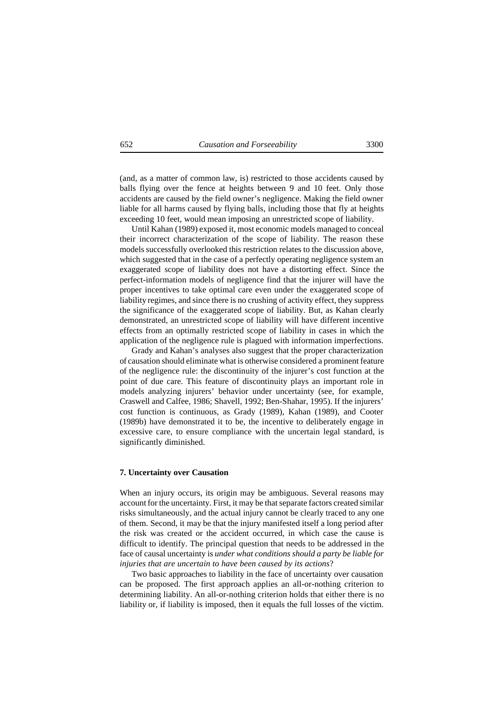(and, as a matter of common law, is) restricted to those accidents caused by balls flying over the fence at heights between 9 and 10 feet. Only those accidents are caused by the field owner's negligence. Making the field owner liable for all harms caused by flying balls, including those that fly at heights exceeding 10 feet, would mean imposing an unrestricted scope of liability.

Until Kahan (1989) exposed it, most economic models managed to conceal their incorrect characterization of the scope of liability. The reason these models successfully overlooked this restriction relates to the discussion above, which suggested that in the case of a perfectly operating negligence system an exaggerated scope of liability does not have a distorting effect. Since the perfect-information models of negligence find that the injurer will have the proper incentives to take optimal care even under the exaggerated scope of liability regimes, and since there is no crushing of activity effect, they suppress the significance of the exaggerated scope of liability. But, as Kahan clearly demonstrated, an unrestricted scope of liability will have different incentive effects from an optimally restricted scope of liability in cases in which the application of the negligence rule is plagued with information imperfections.

Grady and Kahan's analyses also suggest that the proper characterization of causation should eliminate what is otherwise considered a prominent feature of the negligence rule: the discontinuity of the injurer's cost function at the point of due care. This feature of discontinuity plays an important role in models analyzing injurers' behavior under uncertainty (see, for example, Craswell and Calfee, 1986; Shavell, 1992; Ben-Shahar, 1995). If the injurers' cost function is continuous, as Grady (1989), Kahan (1989), and Cooter (1989b) have demonstrated it to be, the incentive to deliberately engage in excessive care, to ensure compliance with the uncertain legal standard, is significantly diminished.

#### **7. Uncertainty over Causation**

When an injury occurs, its origin may be ambiguous. Several reasons may account for the uncertainty. First, it may be that separate factors created similar risks simultaneously, and the actual injury cannot be clearly traced to any one of them. Second, it may be that the injury manifested itself a long period after the risk was created or the accident occurred, in which case the cause is difficult to identify. The principal question that needs to be addressed in the face of causal uncertainty is *under what conditions should a party be liable for injuries that are uncertain to have been caused by its actions*?

Two basic approaches to liability in the face of uncertainty over causation can be proposed. The first approach applies an all-or-nothing criterion to determining liability. An all-or-nothing criterion holds that either there is no liability or, if liability is imposed, then it equals the full losses of the victim.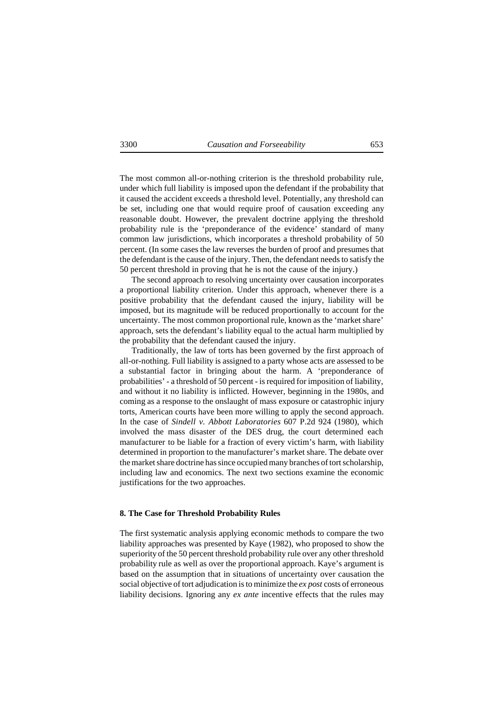The most common all-or-nothing criterion is the threshold probability rule, under which full liability is imposed upon the defendant if the probability that it caused the accident exceeds a threshold level. Potentially, any threshold can be set, including one that would require proof of causation exceeding any reasonable doubt. However, the prevalent doctrine applying the threshold probability rule is the 'preponderance of the evidence' standard of many common law jurisdictions, which incorporates a threshold probability of 50 percent. (In some cases the law reverses the burden of proof and presumes that the defendant is the cause of the injury. Then, the defendant needs to satisfy the 50 percent threshold in proving that he is not the cause of the injury.)

The second approach to resolving uncertainty over causation incorporates a proportional liability criterion. Under this approach, whenever there is a positive probability that the defendant caused the injury, liability will be imposed, but its magnitude will be reduced proportionally to account for the uncertainty. The most common proportional rule, known as the 'market share' approach, sets the defendant's liability equal to the actual harm multiplied by the probability that the defendant caused the injury.

Traditionally, the law of torts has been governed by the first approach of all-or-nothing. Full liability is assigned to a party whose acts are assessed to be a substantial factor in bringing about the harm. A 'preponderance of probabilities' - a threshold of 50 percent - is required for imposition of liability, and without it no liability is inflicted. However, beginning in the 1980s, and coming as a response to the onslaught of mass exposure or catastrophic injury torts, American courts have been more willing to apply the second approach. In the case of *Sindell v. Abbott Laboratories* 607 P.2d 924 (1980), which involved the mass disaster of the DES drug, the court determined each manufacturer to be liable for a fraction of every victim's harm, with liability determined in proportion to the manufacturer's market share. The debate over the market share doctrine has since occupied many branches of tort scholarship, including law and economics. The next two sections examine the economic justifications for the two approaches.

#### **8. The Case for Threshold Probability Rules**

The first systematic analysis applying economic methods to compare the two liability approaches was presented by Kaye (1982), who proposed to show the superiority of the 50 percent threshold probability rule over any other threshold probability rule as well as over the proportional approach. Kaye's argument is based on the assumption that in situations of uncertainty over causation the social objective of tort adjudication is to minimize the *ex post* costs of erroneous liability decisions. Ignoring any *ex ante* incentive effects that the rules may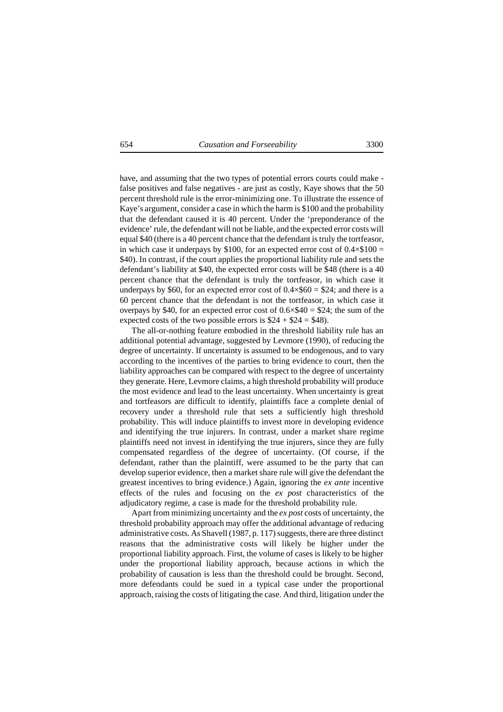have, and assuming that the two types of potential errors courts could make false positives and false negatives - are just as costly, Kaye shows that the 50 percent threshold rule is the error-minimizing one. To illustrate the essence of Kaye's argument, consider a case in which the harm is \$100 and the probability that the defendant caused it is 40 percent. Under the 'preponderance of the evidence' rule, the defendant will not be liable, and the expected error costs will equal \$40 (there is a 40 percent chance that the defendant is truly the tortfeasor, in which case it underpays by \$100, for an expected error cost of  $0.4 \times $100 =$ \$40). In contrast, if the court applies the proportional liability rule and sets the defendant's liability at \$40, the expected error costs will be \$48 (there is a 40 percent chance that the defendant is truly the tortfeasor, in which case it underpays by \$60, for an expected error cost of  $0.4 \times $60 = $24$ ; and there is a 60 percent chance that the defendant is not the tortfeasor, in which case it overpays by \$40, for an expected error cost of  $0.6 \times $40 = $24$ ; the sum of the expected costs of the two possible errors is  $$24 + $24 = $48$ .

The all-or-nothing feature embodied in the threshold liability rule has an additional potential advantage, suggested by Levmore (1990), of reducing the degree of uncertainty. If uncertainty is assumed to be endogenous, and to vary according to the incentives of the parties to bring evidence to court, then the liability approaches can be compared with respect to the degree of uncertainty they generate. Here, Levmore claims, a high threshold probability will produce the most evidence and lead to the least uncertainty. When uncertainty is great and tortfeasors are difficult to identify, plaintiffs face a complete denial of recovery under a threshold rule that sets a sufficiently high threshold probability. This will induce plaintiffs to invest more in developing evidence and identifying the true injurers. In contrast, under a market share regime plaintiffs need not invest in identifying the true injurers, since they are fully compensated regardless of the degree of uncertainty. (Of course, if the defendant, rather than the plaintiff, were assumed to be the party that can develop superior evidence, then a market share rule will give the defendant the greatest incentives to bring evidence.) Again, ignoring the *ex ante* incentive effects of the rules and focusing on the *ex post* characteristics of the adjudicatory regime, a case is made for the threshold probability rule.

Apart from minimizing uncertainty and the *ex post* costs of uncertainty, the threshold probability approach may offer the additional advantage of reducing administrative costs. As Shavell (1987, p. 117) suggests, there are three distinct reasons that the administrative costs will likely be higher under the proportional liability approach. First, the volume of cases is likely to be higher under the proportional liability approach, because actions in which the probability of causation is less than the threshold could be brought. Second, more defendants could be sued in a typical case under the proportional approach, raising the costs of litigating the case. And third, litigation under the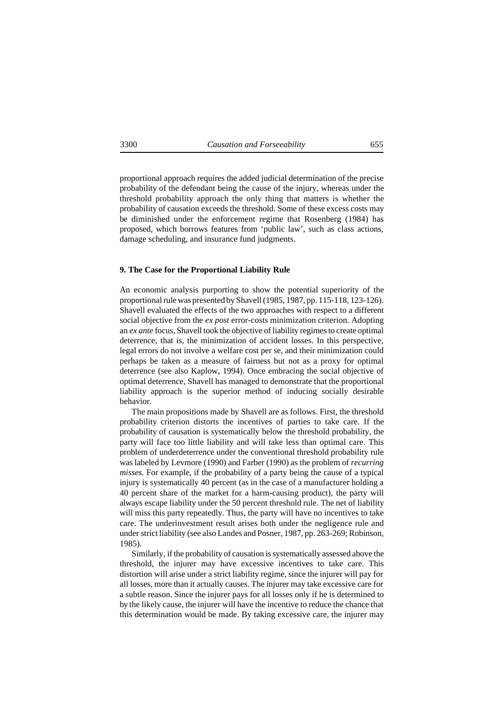proportional approach requires the added judicial determination of the precise probability of the defendant being the cause of the injury, whereas under the threshold probability approach the only thing that matters is whether the probability of causation exceeds the threshold. Some of these excess costs may be diminished under the enforcement regime that Rosenberg (1984) has proposed, which borrows features from 'public law', such as class actions, damage scheduling, and insurance fund judgments.

#### **9. The Case for the Proportional Liability Rule**

An economic analysis purporting to show the potential superiority of the proportional rule was presented by Shavell (1985, 1987, pp. 115-118, 123-126). Shavell evaluated the effects of the two approaches with respect to a different social objective from the *ex post* error-costs minimization criterion. Adopting an *ex ante* focus, Shavell took the objective of liability regimes to create optimal deterrence, that is, the minimization of accident losses. In this perspective, legal errors do not involve a welfare cost per se, and their minimization could perhaps be taken as a measure of fairness but not as a proxy for optimal deterrence (see also Kaplow, 1994). Once embracing the social objective of optimal deterrence, Shavell has managed to demonstrate that the proportional liability approach is the superior method of inducing socially desirable behavior.

The main propositions made by Shavell are as follows. First, the threshold probability criterion distorts the incentives of parties to take care. If the probability of causation is systematically below the threshold probability, the party will face too little liability and will take less than optimal care. This problem of underdeterrence under the conventional threshold probability rule was labeled by Levmore (1990) and Farber (1990) as the problem of *recurring misses*. For example, if the probability of a party being the cause of a typical injury is systematically 40 percent (as in the case of a manufacturer holding a 40 percent share of the market for a harm-causing product), the party will always escape liability under the 50 percent threshold rule. The net of liability will miss this party repeatedly. Thus, the party will have no incentives to take care. The underinvestment result arises both under the negligence rule and under strict liability (see also Landes and Posner, 1987, pp. 263-269; Robinson, 1985).

Similarly, if the probability of causation is systematically assessed above the threshold, the injurer may have excessive incentives to take care. This distortion will arise under a strict liability regime, since the injurer will pay for all losses, more than it actually causes. The injurer may take excessive care for a subtle reason. Since the injurer pays for all losses only if he is determined to by the likely cause, the injurer will have the incentive to reduce the chance that this determination would be made. By taking excessive care, the injurer may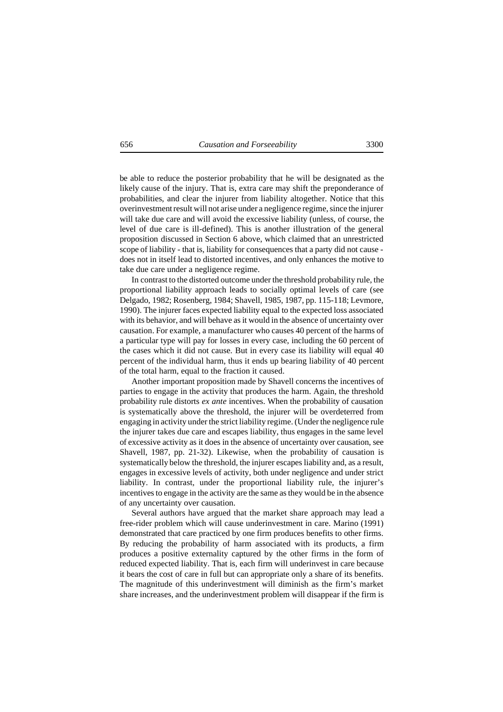be able to reduce the posterior probability that he will be designated as the likely cause of the injury. That is, extra care may shift the preponderance of probabilities, and clear the injurer from liability altogether. Notice that this overinvestment result will not arise under a negligence regime, since the injurer will take due care and will avoid the excessive liability (unless, of course, the level of due care is ill-defined). This is another illustration of the general proposition discussed in Section 6 above, which claimed that an unrestricted scope of liability - that is, liability for consequences that a party did not cause does not in itself lead to distorted incentives, and only enhances the motive to take due care under a negligence regime.

In contrast to the distorted outcome under the threshold probability rule, the proportional liability approach leads to socially optimal levels of care (see Delgado, 1982; Rosenberg, 1984; Shavell, 1985, 1987, pp. 115-118; Levmore, 1990). The injurer faces expected liability equal to the expected loss associated with its behavior, and will behave as it would in the absence of uncertainty over causation. For example, a manufacturer who causes 40 percent of the harms of a particular type will pay for losses in every case, including the 60 percent of the cases which it did not cause. But in every case its liability will equal 40 percent of the individual harm, thus it ends up bearing liability of 40 percent of the total harm, equal to the fraction it caused.

Another important proposition made by Shavell concerns the incentives of parties to engage in the activity that produces the harm. Again, the threshold probability rule distorts *ex ante* incentives. When the probability of causation is systematically above the threshold, the injurer will be overdeterred from engaging in activity under the strict liability regime. (Under the negligence rule the injurer takes due care and escapes liability, thus engages in the same level of excessive activity as it does in the absence of uncertainty over causation, see Shavell, 1987, pp. 21-32). Likewise, when the probability of causation is systematically below the threshold, the injurer escapes liability and, as a result, engages in excessive levels of activity, both under negligence and under strict liability. In contrast, under the proportional liability rule, the injurer's incentives to engage in the activity are the same as they would be in the absence of any uncertainty over causation.

Several authors have argued that the market share approach may lead a free-rider problem which will cause underinvestment in care. Marino (1991) demonstrated that care practiced by one firm produces benefits to other firms. By reducing the probability of harm associated with its products, a firm produces a positive externality captured by the other firms in the form of reduced expected liability. That is, each firm will underinvest in care because it bears the cost of care in full but can appropriate only a share of its benefits. The magnitude of this underinvestment will diminish as the firm's market share increases, and the underinvestment problem will disappear if the firm is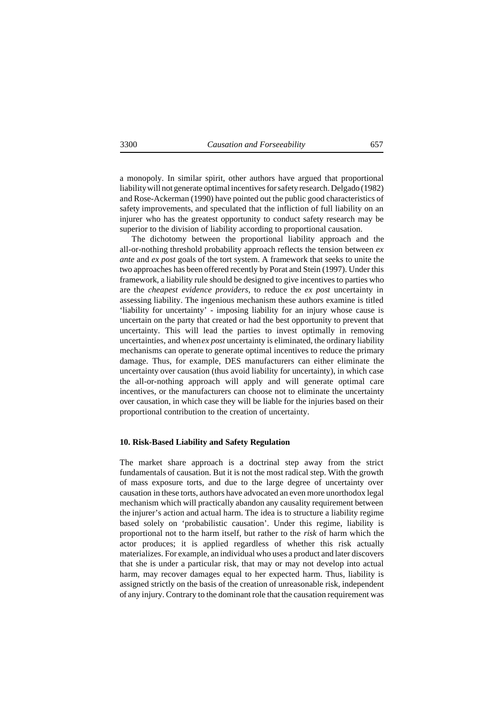a monopoly. In similar spirit, other authors have argued that proportional liability will not generate optimal incentives for safety research. Delgado (1982) and Rose-Ackerman (1990) have pointed out the public good characteristics of safety improvements, and speculated that the infliction of full liability on an injurer who has the greatest opportunity to conduct safety research may be superior to the division of liability according to proportional causation.

The dichotomy between the proportional liability approach and the all-or-nothing threshold probability approach reflects the tension between *ex ante* and *ex post* goals of the tort system. A framework that seeks to unite the two approaches has been offered recently by Porat and Stein (1997). Under this framework, a liability rule should be designed to give incentives to parties who are the *cheapest evidence providers*, to reduce the *ex post* uncertainty in assessing liability. The ingenious mechanism these authors examine is titled 'liability for uncertainty' - imposing liability for an injury whose cause is uncertain on the party that created or had the best opportunity to prevent that uncertainty. This will lead the parties to invest optimally in removing uncertainties, and when *ex post* uncertainty is eliminated, the ordinary liability mechanisms can operate to generate optimal incentives to reduce the primary damage. Thus, for example, DES manufacturers can either eliminate the uncertainty over causation (thus avoid liability for uncertainty), in which case the all-or-nothing approach will apply and will generate optimal care incentives, or the manufacturers can choose not to eliminate the uncertainty over causation, in which case they will be liable for the injuries based on their proportional contribution to the creation of uncertainty.

#### **10. Risk-Based Liability and Safety Regulation**

The market share approach is a doctrinal step away from the strict fundamentals of causation. But it is not the most radical step. With the growth of mass exposure torts, and due to the large degree of uncertainty over causation in these torts, authors have advocated an even more unorthodox legal mechanism which will practically abandon any causality requirement between the injurer's action and actual harm. The idea is to structure a liability regime based solely on 'probabilistic causation'. Under this regime, liability is proportional not to the harm itself, but rather to the *risk* of harm which the actor produces; it is applied regardless of whether this risk actually materializes. For example, an individual who uses a product and later discovers that she is under a particular risk, that may or may not develop into actual harm, may recover damages equal to her expected harm. Thus, liability is assigned strictly on the basis of the creation of unreasonable risk, independent of any injury. Contrary to the dominant role that the causation requirement was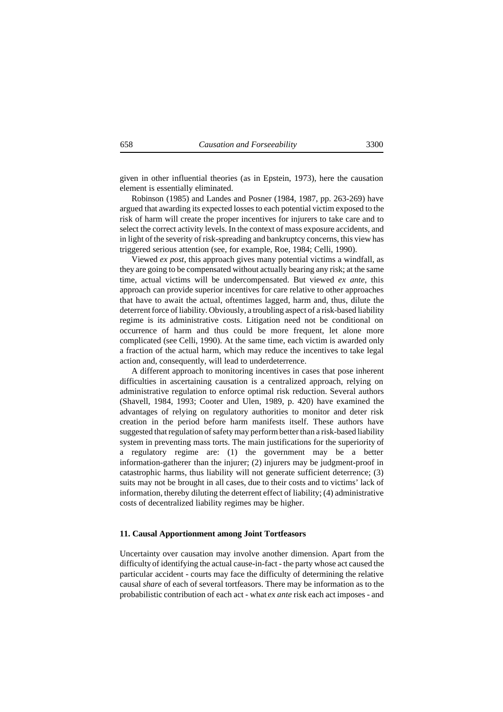| Causation and Forseeability | 3300 |
|-----------------------------|------|
|                             |      |

given in other influential theories (as in Epstein, 1973), here the causation element is essentially eliminated.

Robinson (1985) and Landes and Posner (1984, 1987, pp. 263-269) have argued that awarding its expected losses to each potential victim exposed to the risk of harm will create the proper incentives for injurers to take care and to select the correct activity levels. In the context of mass exposure accidents, and in light of the severity of risk-spreading and bankruptcy concerns, this view has triggered serious attention (see, for example, Roe, 1984; Celli, 1990).

Viewed *ex post*, this approach gives many potential victims a windfall, as they are going to be compensated without actually bearing any risk; at the same time, actual victims will be undercompensated. But viewed *ex ante*, this approach can provide superior incentives for care relative to other approaches that have to await the actual, oftentimes lagged, harm and, thus, dilute the deterrent force of liability. Obviously, a troubling aspect of a risk-based liability regime is its administrative costs. Litigation need not be conditional on occurrence of harm and thus could be more frequent, let alone more complicated (see Celli, 1990). At the same time, each victim is awarded only a fraction of the actual harm, which may reduce the incentives to take legal action and, consequently, will lead to underdeterrence.

A different approach to monitoring incentives in cases that pose inherent difficulties in ascertaining causation is a centralized approach, relying on administrative regulation to enforce optimal risk reduction. Several authors (Shavell, 1984, 1993; Cooter and Ulen, 1989, p. 420) have examined the advantages of relying on regulatory authorities to monitor and deter risk creation in the period before harm manifests itself. These authors have suggested that regulation of safety may perform better than a risk-based liability system in preventing mass torts. The main justifications for the superiority of a regulatory regime are: (1) the government may be a better information-gatherer than the injurer; (2) injurers may be judgment-proof in catastrophic harms, thus liability will not generate sufficient deterrence; (3) suits may not be brought in all cases, due to their costs and to victims' lack of information, thereby diluting the deterrent effect of liability; (4) administrative costs of decentralized liability regimes may be higher.

#### **11. Causal Apportionment among Joint Tortfeasors**

Uncertainty over causation may involve another dimension. Apart from the difficulty of identifying the actual cause-in-fact - the party whose act caused the particular accident - courts may face the difficulty of determining the relative causal *share* of each of several tortfeasors. There may be information as to the probabilistic contribution of each act - what *ex ante* risk each act imposes - and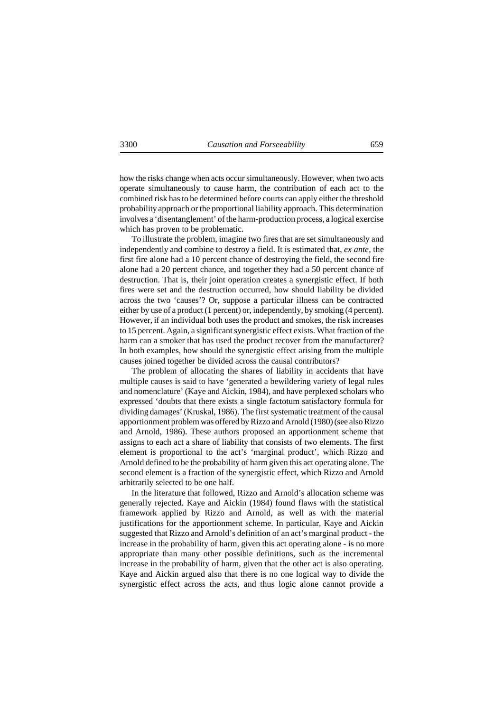how the risks change when acts occur simultaneously. However, when two acts operate simultaneously to cause harm, the contribution of each act to the combined risk has to be determined before courts can apply either the threshold probability approach or the proportional liability approach. This determination involves a 'disentanglement' of the harm-production process, a logical exercise which has proven to be problematic.

To illustrate the problem, imagine two fires that are set simultaneously and independently and combine to destroy a field. It is estimated that, *ex ante*, the first fire alone had a 10 percent chance of destroying the field, the second fire alone had a 20 percent chance, and together they had a 50 percent chance of destruction. That is, their joint operation creates a synergistic effect. If both fires were set and the destruction occurred, how should liability be divided across the two 'causes'? Or, suppose a particular illness can be contracted either by use of a product (1 percent) or, independently, by smoking (4 percent). However, if an individual both uses the product and smokes, the risk increases to 15 percent. Again, a significant synergistic effect exists. What fraction of the harm can a smoker that has used the product recover from the manufacturer? In both examples, how should the synergistic effect arising from the multiple causes joined together be divided across the causal contributors?

The problem of allocating the shares of liability in accidents that have multiple causes is said to have 'generated a bewildering variety of legal rules and nomenclature' (Kaye and Aickin, 1984), and have perplexed scholars who expressed 'doubts that there exists a single factotum satisfactory formula for dividing damages' (Kruskal, 1986). The first systematic treatment of the causal apportionment problem was offered by Rizzo and Arnold (1980) (see also Rizzo and Arnold, 1986). These authors proposed an apportionment scheme that assigns to each act a share of liability that consists of two elements. The first element is proportional to the act's 'marginal product', which Rizzo and Arnold defined to be the probability of harm given this act operating alone. The second element is a fraction of the synergistic effect, which Rizzo and Arnold arbitrarily selected to be one half.

In the literature that followed, Rizzo and Arnold's allocation scheme was generally rejected. Kaye and Aickin (1984) found flaws with the statistical framework applied by Rizzo and Arnold, as well as with the material justifications for the apportionment scheme. In particular, Kaye and Aickin suggested that Rizzo and Arnold's definition of an act's marginal product - the increase in the probability of harm, given this act operating alone - is no more appropriate than many other possible definitions, such as the incremental increase in the probability of harm, given that the other act is also operating. Kaye and Aickin argued also that there is no one logical way to divide the synergistic effect across the acts, and thus logic alone cannot provide a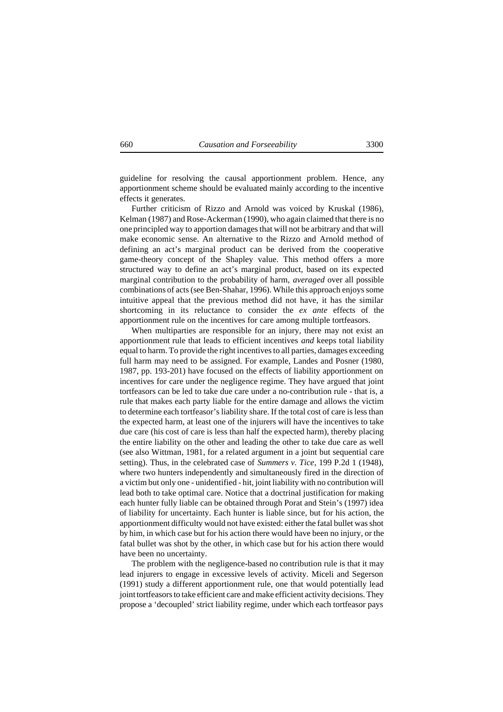guideline for resolving the causal apportionment problem. Hence, any apportionment scheme should be evaluated mainly according to the incentive effects it generates.

Further criticism of Rizzo and Arnold was voiced by Kruskal (1986), Kelman (1987) and Rose-Ackerman (1990), who again claimed that there is no one principled way to apportion damages that will not be arbitrary and that will make economic sense. An alternative to the Rizzo and Arnold method of defining an act's marginal product can be derived from the cooperative game-theory concept of the Shapley value. This method offers a more structured way to define an act's marginal product, based on its expected marginal contribution to the probability of harm, *averaged* over all possible combinations of acts (see Ben-Shahar, 1996). While this approach enjoys some intuitive appeal that the previous method did not have, it has the similar shortcoming in its reluctance to consider the *ex ante* effects of the apportionment rule on the incentives for care among multiple tortfeasors.

When multiparties are responsible for an injury, there may not exist an apportionment rule that leads to efficient incentives *and* keeps total liability equal to harm. To provide the right incentives to all parties, damages exceeding full harm may need to be assigned. For example, Landes and Posner (1980, 1987, pp. 193-201) have focused on the effects of liability apportionment on incentives for care under the negligence regime. They have argued that joint tortfeasors can be led to take due care under a no-contribution rule - that is, a rule that makes each party liable for the entire damage and allows the victim to determine each tortfeasor's liability share. If the total cost of care is less than the expected harm, at least one of the injurers will have the incentives to take due care (his cost of care is less than half the expected harm), thereby placing the entire liability on the other and leading the other to take due care as well (see also Wittman, 1981, for a related argument in a joint but sequential care setting). Thus, in the celebrated case of *Summers v. Tice*, 199 P.2d 1 (1948), where two hunters independently and simultaneously fired in the direction of a victim but only one - unidentified - hit, joint liability with no contribution will lead both to take optimal care. Notice that a doctrinal justification for making each hunter fully liable can be obtained through Porat and Stein's (1997) idea of liability for uncertainty. Each hunter is liable since, but for his action, the apportionment difficulty would not have existed: either the fatal bullet was shot by him, in which case but for his action there would have been no injury, or the fatal bullet was shot by the other, in which case but for his action there would have been no uncertainty.

The problem with the negligence-based no contribution rule is that it may lead injurers to engage in excessive levels of activity. Miceli and Segerson (1991) study a different apportionment rule, one that would potentially lead joint tortfeasors to take efficient care and make efficient activity decisions. They propose a 'decoupled' strict liability regime, under which each tortfeasor pays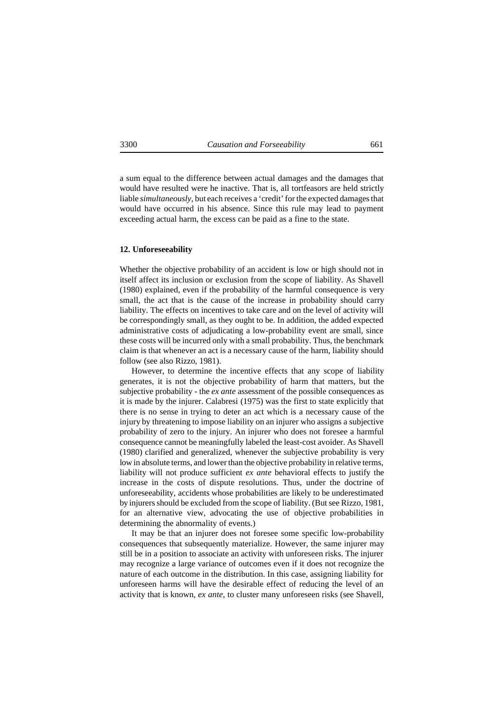a sum equal to the difference between actual damages and the damages that would have resulted were he inactive. That is, all tortfeasors are held strictly liable *simultaneously*, but each receives a 'credit' for the expected damages that would have occurred in his absence. Since this rule may lead to payment exceeding actual harm, the excess can be paid as a fine to the state.

#### **12. Unforeseeability**

Whether the objective probability of an accident is low or high should not in itself affect its inclusion or exclusion from the scope of liability. As Shavell (1980) explained, even if the probability of the harmful consequence is very small, the act that is the cause of the increase in probability should carry liability. The effects on incentives to take care and on the level of activity will be correspondingly small, as they ought to be. In addition, the added expected administrative costs of adjudicating a low-probability event are small, since these costs will be incurred only with a small probability. Thus, the benchmark claim is that whenever an act is a necessary cause of the harm, liability should follow (see also Rizzo, 1981).

However, to determine the incentive effects that any scope of liability generates, it is not the objective probability of harm that matters, but the subjective probability - the *ex ante* assessment of the possible consequences as it is made by the injurer. Calabresi (1975) was the first to state explicitly that there is no sense in trying to deter an act which is a necessary cause of the injury by threatening to impose liability on an injurer who assigns a subjective probability of zero to the injury. An injurer who does not foresee a harmful consequence cannot be meaningfully labeled the least-cost avoider. As Shavell (1980) clarified and generalized, whenever the subjective probability is very low in absolute terms, and lower than the objective probability in relative terms, liability will not produce sufficient *ex ante* behavioral effects to justify the increase in the costs of dispute resolutions. Thus, under the doctrine of unforeseeability, accidents whose probabilities are likely to be underestimated by injurers should be excluded from the scope of liability. (But see Rizzo, 1981, for an alternative view, advocating the use of objective probabilities in determining the abnormality of events.)

It may be that an injurer does not foresee some specific low-probability consequences that subsequently materialize. However, the same injurer may still be in a position to associate an activity with unforeseen risks. The injurer may recognize a large variance of outcomes even if it does not recognize the nature of each outcome in the distribution. In this case, assigning liability for unforeseen harms will have the desirable effect of reducing the level of an activity that is known, *ex ante*, to cluster many unforeseen risks (see Shavell,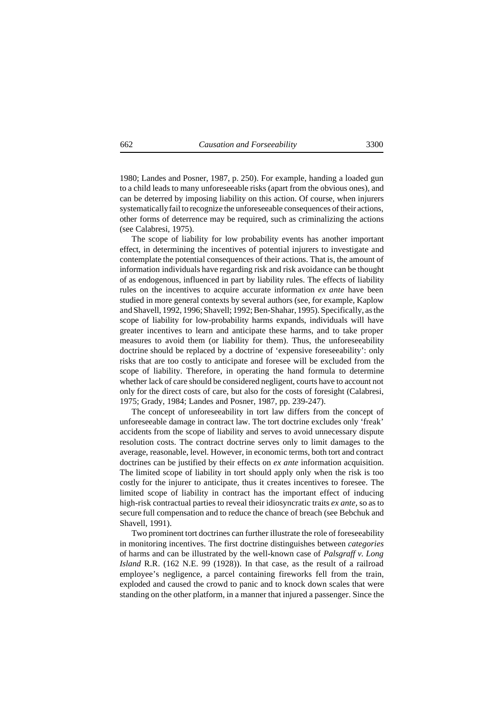1980; Landes and Posner, 1987, p. 250). For example, handing a loaded gun to a child leads to many unforeseeable risks (apart from the obvious ones), and can be deterred by imposing liability on this action. Of course, when injurers systematically fail to recognize the unforeseeable consequences of their actions, other forms of deterrence may be required, such as criminalizing the actions (see Calabresi, 1975).

The scope of liability for low probability events has another important effect, in determining the incentives of potential injurers to investigate and contemplate the potential consequences of their actions. That is, the amount of information individuals have regarding risk and risk avoidance can be thought of as endogenous, influenced in part by liability rules. The effects of liability rules on the incentives to acquire accurate information *ex ante* have been studied in more general contexts by several authors (see, for example, Kaplow and Shavell, 1992, 1996; Shavell; 1992; Ben-Shahar, 1995). Specifically, as the scope of liability for low-probability harms expands, individuals will have greater incentives to learn and anticipate these harms, and to take proper measures to avoid them (or liability for them). Thus, the unforeseeability doctrine should be replaced by a doctrine of 'expensive foreseeability': only risks that are too costly to anticipate and foresee will be excluded from the scope of liability. Therefore, in operating the hand formula to determine whether lack of care should be considered negligent, courts have to account not only for the direct costs of care, but also for the costs of foresight (Calabresi, 1975; Grady, 1984; Landes and Posner, 1987, pp. 239-247).

The concept of unforeseeability in tort law differs from the concept of unforeseeable damage in contract law. The tort doctrine excludes only 'freak' accidents from the scope of liability and serves to avoid unnecessary dispute resolution costs. The contract doctrine serves only to limit damages to the average, reasonable, level. However, in economic terms, both tort and contract doctrines can be justified by their effects on *ex ante* information acquisition. The limited scope of liability in tort should apply only when the risk is too costly for the injurer to anticipate, thus it creates incentives to foresee. The limited scope of liability in contract has the important effect of inducing high-risk contractual parties to reveal their idiosyncratic traits *ex ante*, so as to secure full compensation and to reduce the chance of breach (see Bebchuk and Shavell, 1991).

Two prominent tort doctrines can further illustrate the role of foreseeability in monitoring incentives. The first doctrine distinguishes between *categories* of harms and can be illustrated by the well-known case of *Palsgraff v. Long Island* R.R. (162 N.E. 99 (1928)). In that case, as the result of a railroad employee's negligence, a parcel containing fireworks fell from the train, exploded and caused the crowd to panic and to knock down scales that were standing on the other platform, in a manner that injured a passenger. Since the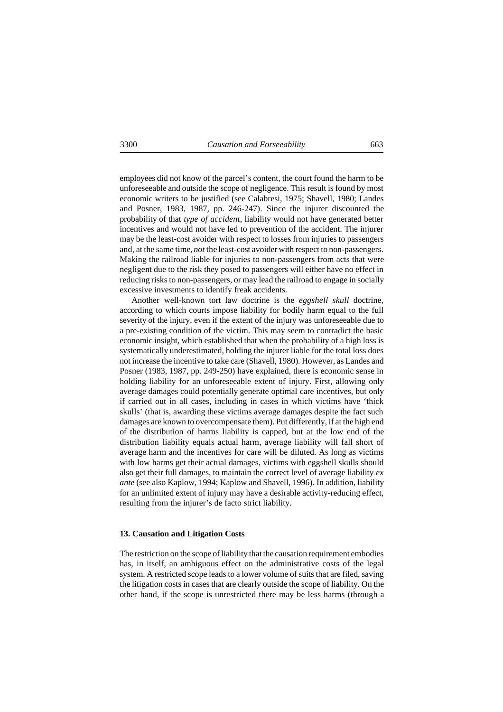employees did not know of the parcel's content, the court found the harm to be unforeseeable and outside the scope of negligence. This result is found by most economic writers to be justified (see Calabresi, 1975; Shavell, 1980; Landes and Posner, 1983, 1987, pp. 246-247). Since the injurer discounted the probability of that *type of accident*, liability would not have generated better incentives and would not have led to prevention of the accident. The injurer may be the least-cost avoider with respect to losses from injuries to passengers and, at the same time, *not* the least-cost avoider with respect to non-passengers. Making the railroad liable for injuries to non-passengers from acts that were negligent due to the risk they posed to passengers will either have no effect in reducing risks to non-passengers, or may lead the railroad to engage in socially excessive investments to identify freak accidents.

Another well-known tort law doctrine is the *eggshell skull* doctrine, according to which courts impose liability for bodily harm equal to the full severity of the injury, even if the extent of the injury was unforeseeable due to a pre-existing condition of the victim. This may seem to contradict the basic economic insight, which established that when the probability of a high loss is systematically underestimated, holding the injurer liable for the total loss does not increase the incentive to take care (Shavell, 1980). However, as Landes and Posner (1983, 1987, pp. 249-250) have explained, there is economic sense in holding liability for an unforeseeable extent of injury. First, allowing only average damages could potentially generate optimal care incentives, but only if carried out in all cases, including in cases in which victims have 'thick skulls' (that is, awarding these victims average damages despite the fact such damages are known to overcompensate them). Put differently, if at the high end of the distribution of harms liability is capped, but at the low end of the distribution liability equals actual harm, average liability will fall short of average harm and the incentives for care will be diluted. As long as victims with low harms get their actual damages, victims with eggshell skulls should also get their full damages, to maintain the correct level of average liability *ex ante* (see also Kaplow, 1994; Kaplow and Shavell, 1996). In addition, liability for an unlimited extent of injury may have a desirable activity-reducing effect, resulting from the injurer's de facto strict liability.

#### **13. Causation and Litigation Costs**

The restriction on the scope of liability that the causation requirement embodies has, in itself, an ambiguous effect on the administrative costs of the legal system. A restricted scope leads to a lower volume of suits that are filed, saving the litigation costs in cases that are clearly outside the scope of liability. On the other hand, if the scope is unrestricted there may be less harms (through a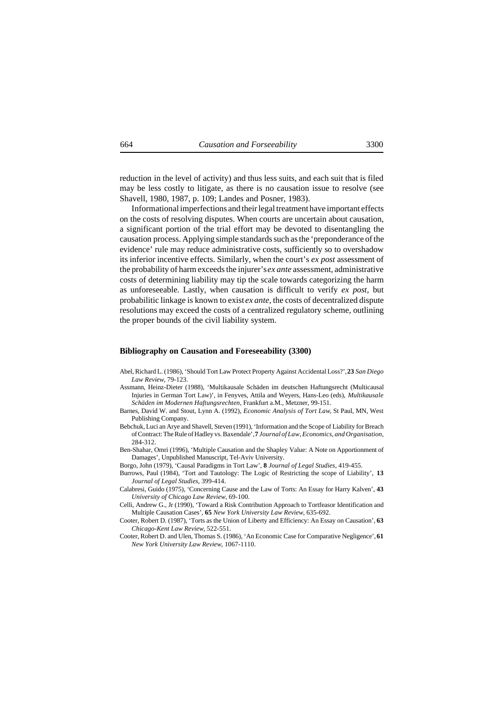reduction in the level of activity) and thus less suits, and each suit that is filed may be less costly to litigate, as there is no causation issue to resolve (see Shavell, 1980, 1987, p. 109; Landes and Posner, 1983).

Informational imperfections and their legal treatment have important effects on the costs of resolving disputes. When courts are uncertain about causation, a significant portion of the trial effort may be devoted to disentangling the causation process. Applying simple standards such as the 'preponderance of the evidence' rule may reduce administrative costs, sufficiently so to overshadow its inferior incentive effects. Similarly, when the court's *ex post* assessment of the probability of harm exceeds the injurer's *ex ante* assessment, administrative costs of determining liability may tip the scale towards categorizing the harm as unforeseeable. Lastly, when causation is difficult to verify *ex post*, but probabilitic linkage is known to exist *ex ante*, the costs of decentralized dispute resolutions may exceed the costs of a centralized regulatory scheme, outlining the proper bounds of the civil liability system.

#### **Bibliography on Causation and Foreseeability (3300)**

- Abel, Richard L. (1986), 'Should Tort Law Protect Property Against Accidental Loss?', **23** *San Diego Law Review*, 79-123.
- Assmann, Heinz-Dieter (1988), 'Multikausale Schäden im deutschen Haftungsrecht (Multicausal Injuries in German Tort Law)', in Fenyves, Attila and Weyers, Hans-Leo (eds), *Multikausale Schäden im Modernen Haftungsrechten,* Frankfurt a.M., Metzner, 99-151.
- Barnes, David W. and Stout, Lynn A. (1992), *Economic Analysis of Tort Law*, St Paul, MN, West Publishing Company.
- Bebchuk, Luci an Arye and Shavell, Steven (1991), 'Information and the Scope of Liability for Breach of Contract: The Rule of Hadley vs. Baxendale', **7** *Journal of Law, Economics, and Organisation*, 284-312.
- Ben-Shahar, Omri (1996), 'Multiple Causation and the Shapley Value: A Note on Apportionment of Damages', Unpublished Manuscript, Tel-Aviv University.
- Borgo, John (1979), 'Causal Paradigms in Tort Law', **8** *Journal of Legal Studies*, 419-455.
- Burrows, Paul (1984), 'Tort and Tautology: The Logic of Restricting the scope of Liability', **13** *Journal of Legal Studies*, 399-414.
- Calabresi, Guido (1975), 'Concerning Cause and the Law of Torts: An Essay for Harry Kalven', **43** *University of Chicago Law Review*, 69-100.
- Celli, Andrew G., Jr (1990), 'Toward a Risk Contribution Approach to Tortfeasor Identification and Multiple Causation Cases', **65** *New York University Law Review*, 635-692.
- Cooter, Robert D. (1987), 'Torts as the Union of Liberty and Efficiency: An Essay on Causation', **63** *Chicago-Kent Law Review*, 522-551.
- Cooter, Robert D. and Ulen, Thomas S. (1986), 'An Economic Case for Comparative Negligence', **61** *New York University Law Review*, 1067-1110.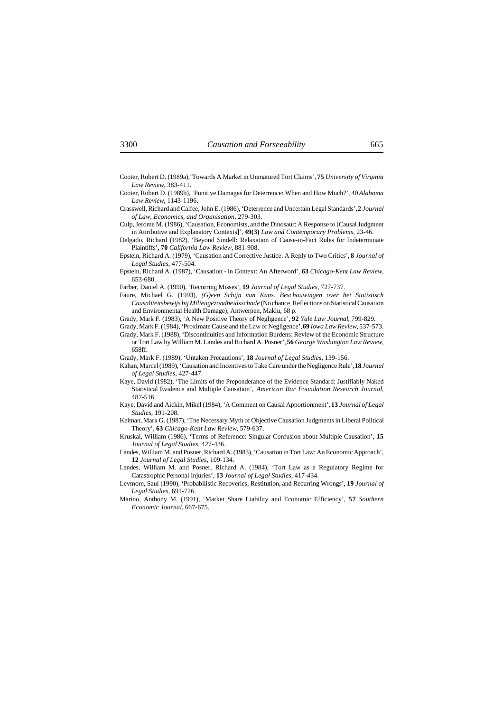- Cooter, Robert D. (1989a),'Towards A Market in Unmatured Tort Claims', **75** *University of Virginia Law Review*, 383-411.
- Cooter, Robert D. (1989b), 'Punitive Damages for Deterrence: When and How Much?', 40 *Alabama Law Review*, 1143-1196.
- Crasswell, Richard and Calfee, John E. (1986), 'Deterrence and Uncertain Legal Standards', **2** *Journal of Law, Economics, and Organisation*, 279-303.
- Culp, Jerome M. (1986), 'Causation, Economists, and the Dinosaur: A Response to [Causal Judgment in Attributive and Explanatory Contexts]', **49(3)** *Law and Contemporary Problems*, 23-46.
- Delgado, Richard (1982), 'Beyond Sindell: Relaxation of Cause-in-Fact Rules for Indeterminate Plaintiffs', **70** *California Law Review*, 881-908.
- Epstein, Richard A. (1979), 'Causation and Corrective Justice: A Reply to Two Critics', **8** *Journal of Legal Studies*, 477-504.
- Epstein, Richard A. (1987), 'Causation in Context: An Afterword', **63** *Chicago-Kent Law Review*, 653-680.
- Farber, Daniel A. (1990), 'Recurring Misses', **19** *Journal of Legal Studies*, 727-737.
- Faure, Michael G. (1993), *(G)een Schijn van Kans. Beschouwingen over het Statistisch Causaliteitsbewijs bij Milieugezondheidsschade* (No chance. Reflections on Statistical Causation and Environmental Health Damage), Antwerpen, Maklu, 68 p.
- Grady, Mark F. (1983), 'A New Positive Theory of Negligence', **92** *Yale Law Journal*, 799-829.
- Grady, Mark F. (1984), 'Proximate Cause and the Law of Negligence', **69** *Iowa Law Review*, 537-573.
- Grady, Mark F. (1988), 'Discontinuities and Information Burdens: Review of the Economic Structure or Tort Law by William M. Landes and Richard A. Posner', **56** *George Washington Law Review*, 658ff.
- Grady, Mark F. (1989), 'Untaken Precautions', **18** *Journal of Legal Studies*, 139-156.
- Kahan, Marcel (1989), 'Causation and Incentives to Take Care under the Negligence Rule', **18** *Journal of Legal Studies*, 427-447.
- Kaye, David (1982), 'The Limits of the Preponderance of the Evidence Standard: Justifiably Naked Statistical Evidence and Multiple Causation', *American Bar Foundation Research Journal*, 487-516.
- Kaye, David and Aickin, Mikel (1984), 'A Comment on Causal Apportionment', **13** *Journal of Legal Studies*, 191-208.
- Kelman, Mark G. (1987), 'The Necessary Myth of Objective Causation Judgments in Liberal Political Theory', **63** *Chicago-Kent Law Review*, 579-637.
- Kruskal, William (1986), 'Terms of Reference: Singular Confusion about Multiple Causation', **15** *Journal of Legal Studies*, 427-436.
- Landes, William M. and Posner, Richard A. (1983), 'Causation in Tort Law: An Economic Approach', **12** *Journal of Legal Studies*, 109-134.
- Landes, William M. and Posner, Richard A. (1984), 'Tort Law as a Regulatory Regime for Catastrophic Personal Injuries', **13** *Journal of Legal Studies*, 417-434.
- Levmore, Saul (1990), 'Probabilistic Recoveries, Restitution, and Recurring Wrongs', **19** *Journal of Legal Studies*, 691-726.
- Marino, Anthony M. (1991), 'Market Share Liability and Economic Efficiency', **57** *Southern Economic Journal*, 667-675.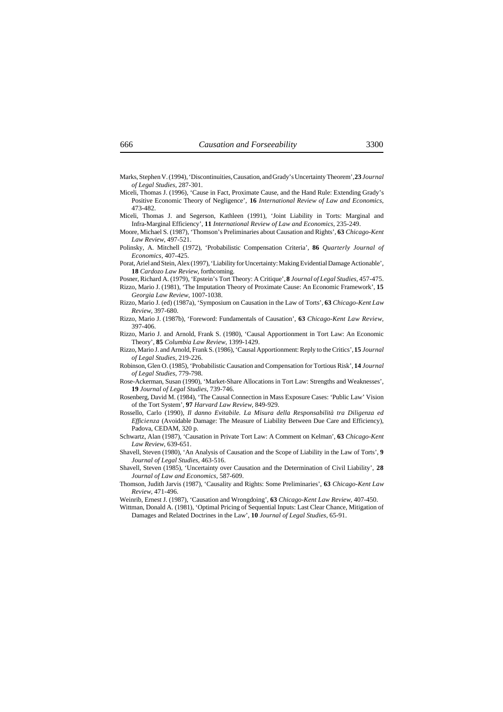| Causation and Forseeability<br>666 | 3300 |
|------------------------------------|------|
|------------------------------------|------|

- Marks, Stephen V. (1994), 'Discontinuities, Causation, and Grady's Uncertainty Theorem', **23** *Journal of Legal Studies*, 287-301.
- Miceli, Thomas J. (1996), 'Cause in Fact, Proximate Cause, and the Hand Rule: Extending Grady's Positive Economic Theory of Negligence', **16** *International Review of Law and Economics*, 473-482.
- Miceli, Thomas J. and Segerson, Kathleen (1991), 'Joint Liability in Torts: Marginal and Infra-Marginal Efficiency', **11** *International Review of Law and Economics*, 235-249.
- Moore, Michael S. (1987), 'Thomson's Preliminaries about Causation and Rights', **63** *Chicago-Kent Law Review*, 497-521.
- Polinsky, A. Mitchell (1972), 'Probabilistic Compensation Criteria', **86** *Quarterly Journal of Economics*, 407-425.
- Porat, Ariel and Stein, Alex (1997), 'Liability for Uncertainty: Making Evidential Damage Actionable', **18** *Cardozo Law Review*, forthcoming.
- Posner, Richard A. (1979), 'Epstein's Tort Theory: A Critique', **8** *Journal of Legal Studies*, 457-475. Rizzo, Mario J. (1981), 'The Imputation Theory of Proximate Cause: An Economic Framework', **15** *Georgia Law Review*, 1007-1038.
- Rizzo, Mario J. (ed) (1987a), 'Symposium on Causation in the Law of Torts', **63** *Chicago-Kent Law Review*, 397-680.
- Rizzo, Mario J. (1987b), 'Foreword: Fundamentals of Causation', **63** *Chicago-Kent Law Review*, 397-406.
- Rizzo, Mario J. and Arnold, Frank S. (1980), 'Causal Apportionment in Tort Law: An Economic Theory', **85** *Columbia Law Review*, 1399-1429.
- Rizzo, Mario J. and Arnold, Frank S. (1986), 'Causal Apportionment: Reply to the Critics', **15** *Journal of Legal Studies*, 219-226.
- Robinson, Glen O. (1985), 'Probabilistic Causation and Compensation for Tortious Risk', **14** *Journal of Legal Studies*, 779-798.
- Rose-Ackerman, Susan (1990), 'Market-Share Allocations in Tort Law: Strengths and Weaknesses', **19** *Journal of Legal Studies*, 739-746.
- Rosenberg, David M. (1984), 'The Causal Connection in Mass Exposure Cases: 'Public Law' Vision of the Tort System', **97** *Harvard Law Review*, 849-929.
- Rossello, Carlo (1990), *Il danno Evitabile. La Misura della Responsabilità tra Diligenza ed Efficienza* (Avoidable Damage: The Measure of Liability Between Due Care and Efficiency), Padova, CEDAM, 320 p.
- Schwartz, Alan (1987), 'Causation in Private Tort Law: A Comment on Kelman', **63** *Chicago-Kent Law Review*, 639-651.
- Shavell, Steven (1980), 'An Analysis of Causation and the Scope of Liability in the Law of Torts', **9** *Journal of Legal Studies*, 463-516.
- Shavell, Steven (1985), 'Uncertainty over Causation and the Determination of Civil Liability', **28** *Journal of Law and Economics*, 587-609.
- Thomson, Judith Jarvis (1987), 'Causality and Rights: Some Preliminaries', **63** *Chicago-Kent Law Review*, 471-496.
- Weinrib, Ernest J. (1987), 'Causation and Wrongdoing', **63** *Chicago-Kent Law Review*, 407-450.
- Wittman, Donald A. (1981), 'Optimal Pricing of Sequential Inputs: Last Clear Chance, Mitigation of Damages and Related Doctrines in the Law', **10** *Journal of Legal Studies*, 65-91.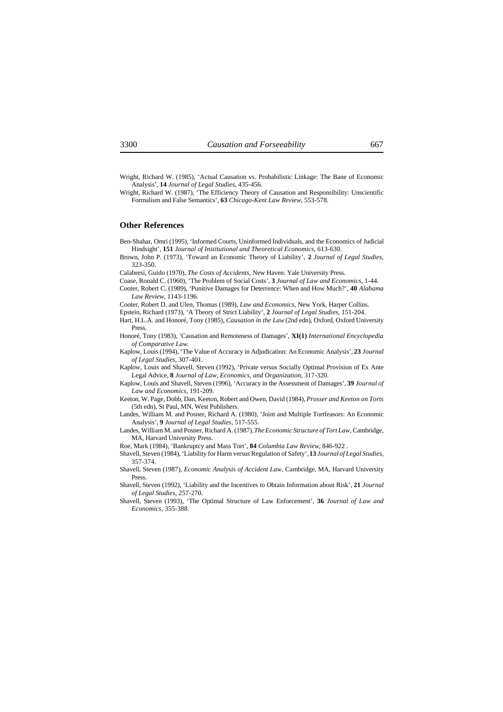Wright, Richard W. (1985), 'Actual Causation vs. Probabilistic Linkage: The Bane of Economic Analysis', **14** *Journal of Legal Studies*, 435-456.

Wright, Richard W. (1987), 'The Efficiency Theory of Causation and Responsibility: Unscientific Formalism and False Semantics', **63** *Chicago-Kent Law Review*, 553-578.

#### **Other References**

Ben-Shahar, Omri (1995), 'Informed Courts, Uninformed Individuals, and the Economics of Judicial Hindsight', **151** *Journal of Institutional and Theoretical Economics*, 613-630.

Brown, John P. (1973), 'Toward an Economic Theory of Liability', **2** *Journal of Legal Studies,* 323-350.

Calabresi, Guido (1970), *The Costs of Accidents*, New Haven: Yale University Press.

Coase, Ronald C. (1960), 'The Problem of Social Costs', **3** *Journal of Law and Economics*, 1-44.

Cooter, Robert C. (1989), 'Punitive Damages for Deterrence: When and How Much?', **40** *Alabama Law Review*, 1143-1196.

Cooter, Robert D. and Ulen, Thomas (1989), *Law and Economics,* New York, Harper Collins.

Epstein, Richard (1973), 'A Theory of Strict Liability', **2** *Journal of Legal Studies*, 151-204.

Hart, H.L.A. and Honoré, Tony (1985), *Causation in the Law* (2nd edn), Oxford, Oxford University Press.

Honoré, Tony (1983), 'Causation and Remoteness of Damages', **XI(1)** *International Encyclopedia of Comparative Law*.

Kaplow, Louis (1994), 'The Value of Accuracy in Adjudication: An Economic Analysis', **23** *Journal of Legal Studies,* 307-401.

Kaplow, Louis and Shavell, Steven (1992), 'Private versus Socially Optimal Provision of Ex Ante Legal Advice, **8** *Journal of Law, Economics, and Organization*, 317-320.

Kaplow, Louis and Shavell, Steven (1996), 'Accuracy in the Assessment of Damages', **39** *Journal of Law and Economics*, 191-209.

Keeton, W. Page, Dobb, Dan, Keeton, Robert and Owen, David (1984), *Prosser and Keeton on Torts* (5th edn), St Paul, MN, West Publishers.

Landes, William M. and Posner, Richard A. (1980), 'Joint and Multiple Tortfeasors: An Economic Analysis', **9** *Journal of Legal Studies*, 517-555.

Landes, William M. and Posner, Richard A. (1987), *The Economic Structure of Tort Law,* Cambridge, MA, Harvard University Press.

Roe, Mark (1984), 'Bankruptcy and Mass Tort', **84** *Columbia Law Review*, 846-922 .

Shavell, Steven (1984), 'Liability for Harm versus Regulation of Safety', **13** *Journal of Legal Studies*, 357-374.

Shavell, Steven (1987), *Economic Analysis of Accident Law,* Cambridge, MA, Harvard University Press.

Shavell, Steven (1992), 'Liability and the Incentives to Obtain Information about Risk', **21** *Journal of Legal Studies*, 257-270.

Shavell, Steven (1993), 'The Optimal Structure of Law Enforcement', **36** *Journal of Law and Economics*, 355-388.